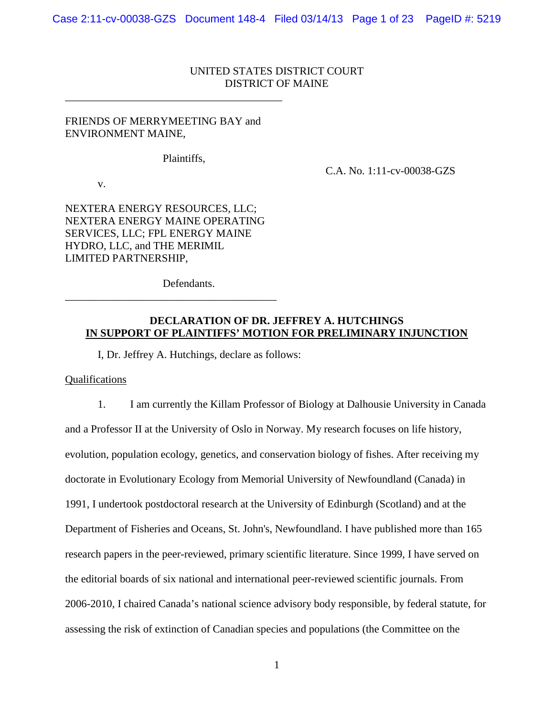# UNITED STATES DISTRICT COURT DISTRICT OF MAINE

## FRIENDS OF MERRYMEETING BAY and ENVIRONMENT MAINE,

\_\_\_\_\_\_\_\_\_\_\_\_\_\_\_\_\_\_\_\_\_\_\_\_\_\_\_\_\_\_\_\_\_\_\_\_\_\_\_\_

Plaintiffs,

C.A. No. 1:11-cv-00038-GZS

v.

NEXTERA ENERGY RESOURCES, LLC; NEXTERA ENERGY MAINE OPERATING SERVICES, LLC; FPL ENERGY MAINE HYDRO, LLC, and THE MERIMIL LIMITED PARTNERSHIP,

\_\_\_\_\_\_\_\_\_\_\_\_\_\_\_\_\_\_\_\_\_\_\_\_\_\_\_\_\_\_\_\_\_\_\_\_\_\_\_

Defendants.

## **DECLARATION OF DR. JEFFREY A. HUTCHINGS IN SUPPORT OF PLAINTIFFS' MOTION FOR PRELIMINARY INJUNCTION**

I, Dr. Jeffrey A. Hutchings, declare as follows:

Qualifications

1. I am currently the Killam Professor of Biology at Dalhousie University in Canada and a Professor II at the University of Oslo in Norway. My research focuses on life history, evolution, population ecology, genetics, and conservation biology of fishes. After receiving my doctorate in Evolutionary Ecology from Memorial University of Newfoundland (Canada) in 1991, I undertook postdoctoral research at the University of Edinburgh (Scotland) and at the Department of Fisheries and Oceans, St. John's, Newfoundland. I have published more than 165 research papers in the peer-reviewed, primary scientific literature. Since 1999, I have served on the editorial boards of six national and international peer-reviewed scientific journals. From 2006-2010, I chaired Canada's national science advisory body responsible, by federal statute, for assessing the risk of extinction of Canadian species and populations (the Committee on the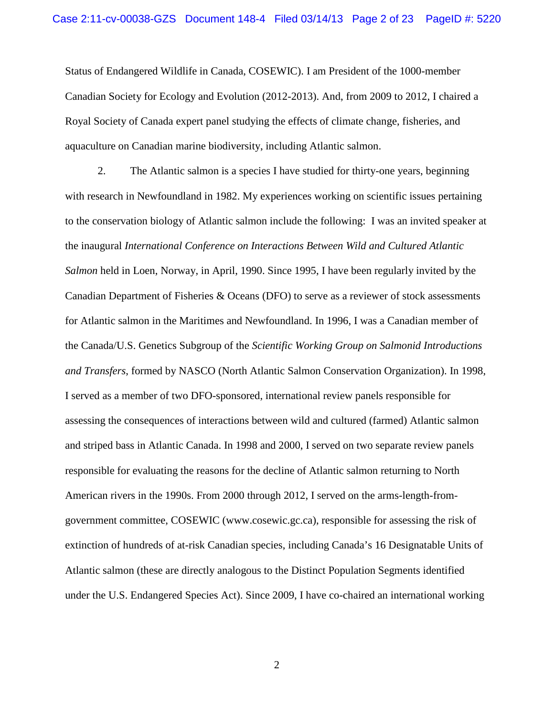Status of Endangered Wildlife in Canada, COSEWIC). I am President of the 1000-member Canadian Society for Ecology and Evolution (2012-2013). And, from 2009 to 2012, I chaired a Royal Society of Canada expert panel studying the effects of climate change, fisheries, and aquaculture on Canadian marine biodiversity, including Atlantic salmon.

2. The Atlantic salmon is a species I have studied for thirty-one years, beginning with research in Newfoundland in 1982. My experiences working on scientific issues pertaining to the conservation biology of Atlantic salmon include the following: I was an invited speaker at the inaugural *International Conference on Interactions Between Wild and Cultured Atlantic Salmon* held in Loen, Norway, in April, 1990. Since 1995, I have been regularly invited by the Canadian Department of Fisheries & Oceans (DFO) to serve as a reviewer of stock assessments for Atlantic salmon in the Maritimes and Newfoundland. In 1996, I was a Canadian member of the Canada/U.S. Genetics Subgroup of the *Scientific Working Group on Salmonid Introductions and Transfers*, formed by NASCO (North Atlantic Salmon Conservation Organization). In 1998, I served as a member of two DFO-sponsored, international review panels responsible for assessing the consequences of interactions between wild and cultured (farmed) Atlantic salmon and striped bass in Atlantic Canada. In 1998 and 2000, I served on two separate review panels responsible for evaluating the reasons for the decline of Atlantic salmon returning to North American rivers in the 1990s. From 2000 through 2012, I served on the arms-length-fromgovernment committee, COSEWIC (www.cosewic.gc.ca), responsible for assessing the risk of extinction of hundreds of at-risk Canadian species, including Canada's 16 Designatable Units of Atlantic salmon (these are directly analogous to the Distinct Population Segments identified under the U.S. Endangered Species Act). Since 2009, I have co-chaired an international working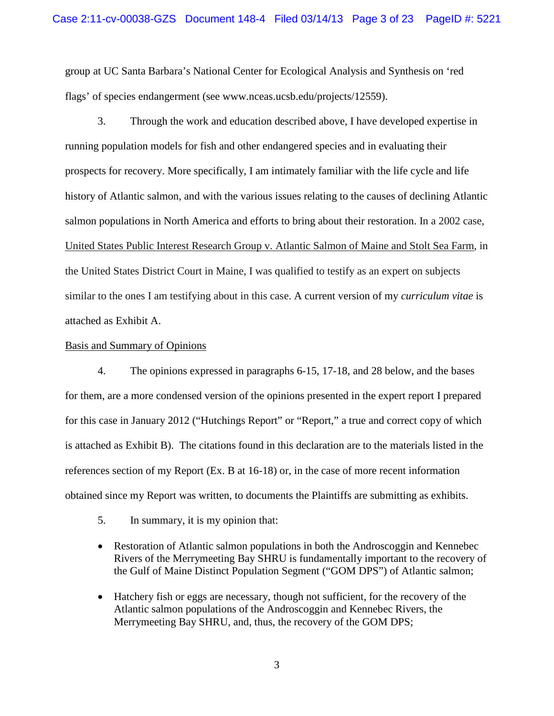group at UC Santa Barbara's National Center for Ecological Analysis and Synthesis on 'red flags' of species endangerment (see www.nceas.ucsb.edu/projects/12559).

3. Through the work and education described above, I have developed expertise in running population models for fish and other endangered species and in evaluating their prospects for recovery. More specifically, I am intimately familiar with the life cycle and life history of Atlantic salmon, and with the various issues relating to the causes of declining Atlantic salmon populations in North America and efforts to bring about their restoration. In a 2002 case, United States Public Interest Research Group v. Atlantic Salmon of Maine and Stolt Sea Farm, in the United States District Court in Maine, I was qualified to testify as an expert on subjects similar to the ones I am testifying about in this case. A current version of my *curriculum vitae* is attached as Exhibit A.

### Basis and Summary of Opinions

4. The opinions expressed in paragraphs 6-15, 17-18, and 28 below, and the bases for them, are a more condensed version of the opinions presented in the expert report I prepared for this case in January 2012 ("Hutchings Report" or "Report," a true and correct copy of which is attached as Exhibit B). The citations found in this declaration are to the materials listed in the references section of my Report (Ex. B at 16-18) or, in the case of more recent information obtained since my Report was written, to documents the Plaintiffs are submitting as exhibits.

- 5. In summary, it is my opinion that:
- Restoration of Atlantic salmon populations in both the Androscoggin and Kennebec Rivers of the Merrymeeting Bay SHRU is fundamentally important to the recovery of the Gulf of Maine Distinct Population Segment ("GOM DPS") of Atlantic salmon;
- Hatchery fish or eggs are necessary, though not sufficient, for the recovery of the Atlantic salmon populations of the Androscoggin and Kennebec Rivers, the Merrymeeting Bay SHRU, and, thus, the recovery of the GOM DPS;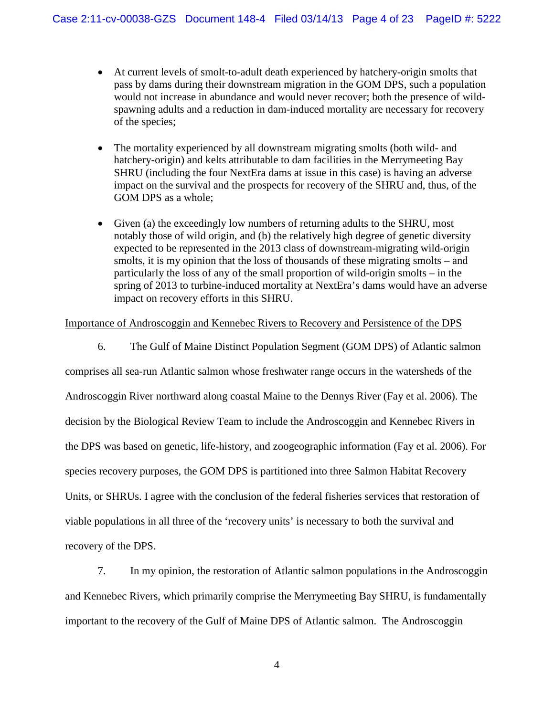- At current levels of smolt-to-adult death experienced by hatchery-origin smolts that pass by dams during their downstream migration in the GOM DPS, such a population would not increase in abundance and would never recover; both the presence of wildspawning adults and a reduction in dam-induced mortality are necessary for recovery of the species;
- The mortality experienced by all downstream migrating smolts (both wild- and hatchery-origin) and kelts attributable to dam facilities in the Merrymeeting Bay SHRU (including the four NextEra dams at issue in this case) is having an adverse impact on the survival and the prospects for recovery of the SHRU and, thus, of the GOM DPS as a whole;
- Given (a) the exceedingly low numbers of returning adults to the SHRU, most notably those of wild origin, and (b) the relatively high degree of genetic diversity expected to be represented in the 2013 class of downstream-migrating wild-origin smolts, it is my opinion that the loss of thousands of these migrating smolts – and particularly the loss of any of the small proportion of wild-origin smolts – in the spring of 2013 to turbine-induced mortality at NextEra's dams would have an adverse impact on recovery efforts in this SHRU.

# Importance of Androscoggin and Kennebec Rivers to Recovery and Persistence of the DPS

6. The Gulf of Maine Distinct Population Segment (GOM DPS) of Atlantic salmon

comprises all sea-run Atlantic salmon whose freshwater range occurs in the watersheds of the Androscoggin River northward along coastal Maine to the Dennys River (Fay et al. 2006). The decision by the Biological Review Team to include the Androscoggin and Kennebec Rivers in the DPS was based on genetic, life-history, and zoogeographic information (Fay et al. 2006). For species recovery purposes, the GOM DPS is partitioned into three Salmon Habitat Recovery Units, or SHRUs. I agree with the conclusion of the federal fisheries services that restoration of viable populations in all three of the 'recovery units' is necessary to both the survival and recovery of the DPS.

7. In my opinion, the restoration of Atlantic salmon populations in the Androscoggin and Kennebec Rivers, which primarily comprise the Merrymeeting Bay SHRU, is fundamentally important to the recovery of the Gulf of Maine DPS of Atlantic salmon. The Androscoggin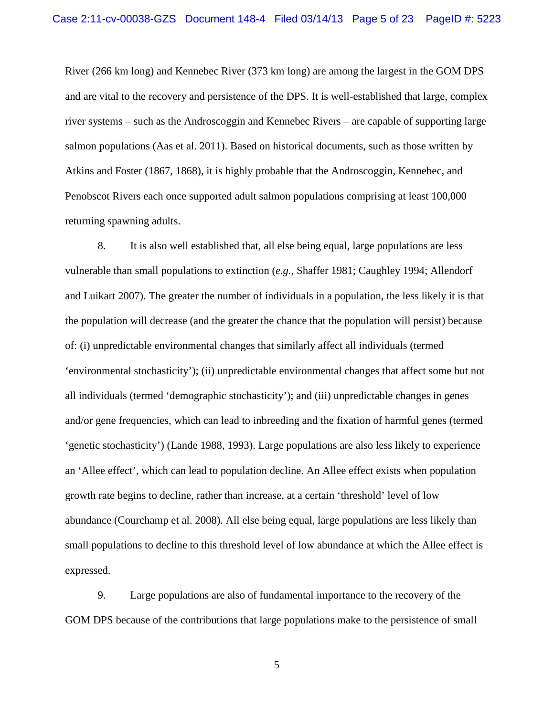River (266 km long) and Kennebec River (373 km long) are among the largest in the GOM DPS and are vital to the recovery and persistence of the DPS. It is well-established that large, complex river systems – such as the Androscoggin and Kennebec Rivers – are capable of supporting large salmon populations (Aas et al. 2011). Based on historical documents, such as those written by Atkins and Foster (1867, 1868), it is highly probable that the Androscoggin, Kennebec, and Penobscot Rivers each once supported adult salmon populations comprising at least 100,000 returning spawning adults.

8. It is also well established that, all else being equal, large populations are less vulnerable than small populations to extinction (*e.g.,* Shaffer 1981; Caughley 1994; Allendorf and Luikart 2007). The greater the number of individuals in a population, the less likely it is that the population will decrease (and the greater the chance that the population will persist) because of: (i) unpredictable environmental changes that similarly affect all individuals (termed 'environmental stochasticity'); (ii) unpredictable environmental changes that affect some but not all individuals (termed 'demographic stochasticity'); and (iii) unpredictable changes in genes and/or gene frequencies, which can lead to inbreeding and the fixation of harmful genes (termed 'genetic stochasticity') (Lande 1988, 1993). Large populations are also less likely to experience an 'Allee effect', which can lead to population decline. An Allee effect exists when population growth rate begins to decline, rather than increase, at a certain 'threshold' level of low abundance (Courchamp et al. 2008). All else being equal, large populations are less likely than small populations to decline to this threshold level of low abundance at which the Allee effect is expressed.

9. Large populations are also of fundamental importance to the recovery of the GOM DPS because of the contributions that large populations make to the persistence of small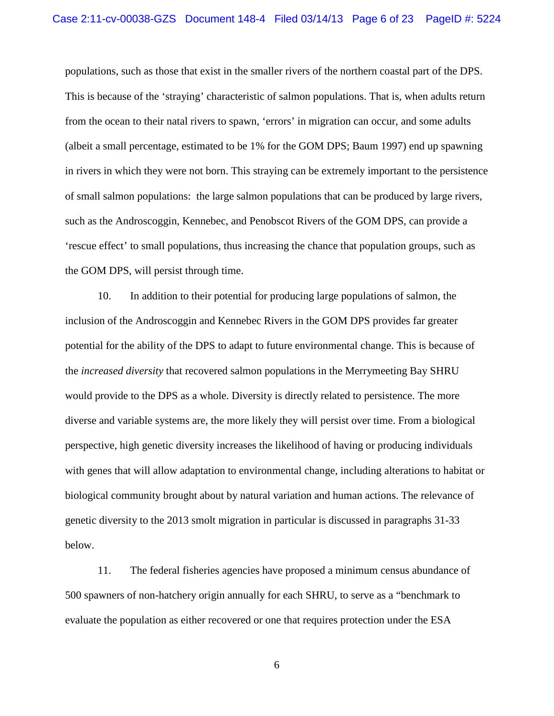populations, such as those that exist in the smaller rivers of the northern coastal part of the DPS. This is because of the 'straying' characteristic of salmon populations. That is, when adults return from the ocean to their natal rivers to spawn, 'errors' in migration can occur, and some adults (albeit a small percentage, estimated to be 1% for the GOM DPS; Baum 1997) end up spawning in rivers in which they were not born. This straying can be extremely important to the persistence of small salmon populations: the large salmon populations that can be produced by large rivers, such as the Androscoggin, Kennebec, and Penobscot Rivers of the GOM DPS, can provide a 'rescue effect' to small populations, thus increasing the chance that population groups, such as the GOM DPS, will persist through time.

10. In addition to their potential for producing large populations of salmon, the inclusion of the Androscoggin and Kennebec Rivers in the GOM DPS provides far greater potential for the ability of the DPS to adapt to future environmental change. This is because of the *increased diversity* that recovered salmon populations in the Merrymeeting Bay SHRU would provide to the DPS as a whole. Diversity is directly related to persistence. The more diverse and variable systems are, the more likely they will persist over time. From a biological perspective, high genetic diversity increases the likelihood of having or producing individuals with genes that will allow adaptation to environmental change, including alterations to habitat or biological community brought about by natural variation and human actions. The relevance of genetic diversity to the 2013 smolt migration in particular is discussed in paragraphs 31-33 below.

11. The federal fisheries agencies have proposed a minimum census abundance of 500 spawners of non-hatchery origin annually for each SHRU, to serve as a "benchmark to evaluate the population as either recovered or one that requires protection under the ESA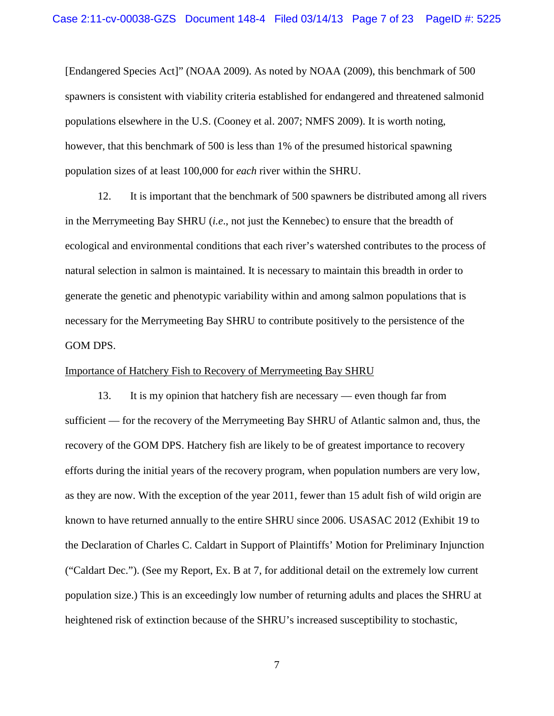[Endangered Species Act]" (NOAA 2009). As noted by NOAA (2009), this benchmark of 500 spawners is consistent with viability criteria established for endangered and threatened salmonid populations elsewhere in the U.S. (Cooney et al. 2007; NMFS 2009). It is worth noting, however, that this benchmark of 500 is less than 1% of the presumed historical spawning population sizes of at least 100,000 for *each* river within the SHRU.

12. It is important that the benchmark of 500 spawners be distributed among all rivers in the Merrymeeting Bay SHRU (*i.e*., not just the Kennebec) to ensure that the breadth of ecological and environmental conditions that each river's watershed contributes to the process of natural selection in salmon is maintained. It is necessary to maintain this breadth in order to generate the genetic and phenotypic variability within and among salmon populations that is necessary for the Merrymeeting Bay SHRU to contribute positively to the persistence of the GOM DPS.

#### Importance of Hatchery Fish to Recovery of Merrymeeting Bay SHRU

13. It is my opinion that hatchery fish are necessary — even though far from sufficient — for the recovery of the Merrymeeting Bay SHRU of Atlantic salmon and, thus, the recovery of the GOM DPS. Hatchery fish are likely to be of greatest importance to recovery efforts during the initial years of the recovery program, when population numbers are very low, as they are now. With the exception of the year 2011, fewer than 15 adult fish of wild origin are known to have returned annually to the entire SHRU since 2006. USASAC 2012 (Exhibit 19 to the Declaration of Charles C. Caldart in Support of Plaintiffs' Motion for Preliminary Injunction ("Caldart Dec."). (See my Report, Ex. B at 7, for additional detail on the extremely low current population size.) This is an exceedingly low number of returning adults and places the SHRU at heightened risk of extinction because of the SHRU's increased susceptibility to stochastic,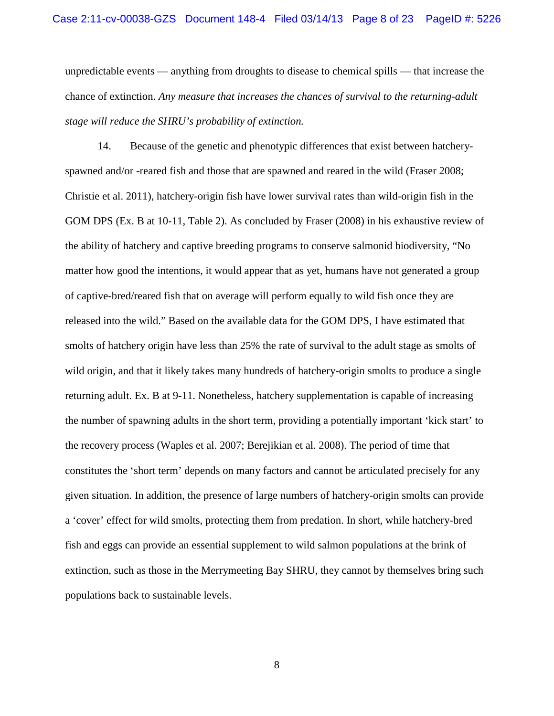unpredictable events — anything from droughts to disease to chemical spills — that increase the chance of extinction. *Any measure that increases the chances of survival to the returning-adult stage will reduce the SHRU's probability of extinction.*

14. Because of the genetic and phenotypic differences that exist between hatcheryspawned and/or -reared fish and those that are spawned and reared in the wild (Fraser 2008; Christie et al. 2011), hatchery-origin fish have lower survival rates than wild-origin fish in the GOM DPS (Ex. B at 10-11, Table 2). As concluded by Fraser (2008) in his exhaustive review of the ability of hatchery and captive breeding programs to conserve salmonid biodiversity, "No matter how good the intentions, it would appear that as yet, humans have not generated a group of captive-bred/reared fish that on average will perform equally to wild fish once they are released into the wild." Based on the available data for the GOM DPS, I have estimated that smolts of hatchery origin have less than 25% the rate of survival to the adult stage as smolts of wild origin, and that it likely takes many hundreds of hatchery-origin smolts to produce a single returning adult. Ex. B at 9-11. Nonetheless, hatchery supplementation is capable of increasing the number of spawning adults in the short term, providing a potentially important 'kick start' to the recovery process (Waples et al. 2007; Berejikian et al. 2008). The period of time that constitutes the 'short term' depends on many factors and cannot be articulated precisely for any given situation. In addition, the presence of large numbers of hatchery-origin smolts can provide a 'cover' effect for wild smolts, protecting them from predation. In short, while hatchery-bred fish and eggs can provide an essential supplement to wild salmon populations at the brink of extinction, such as those in the Merrymeeting Bay SHRU, they cannot by themselves bring such populations back to sustainable levels.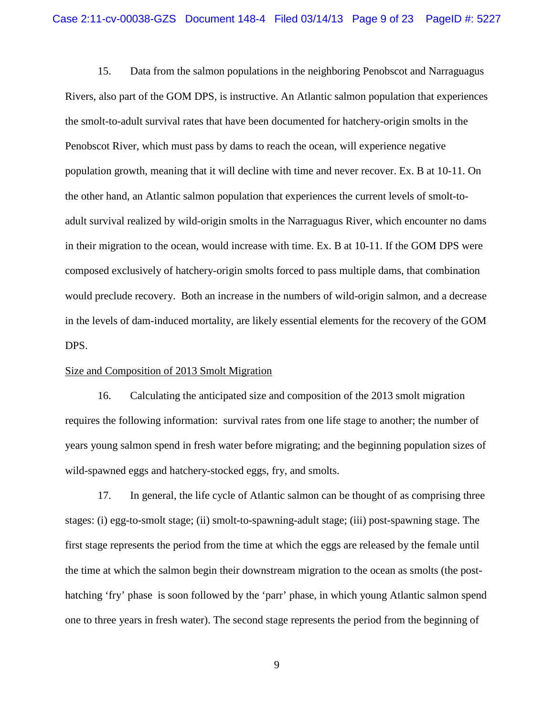15. Data from the salmon populations in the neighboring Penobscot and Narraguagus Rivers, also part of the GOM DPS, is instructive. An Atlantic salmon population that experiences the smolt-to-adult survival rates that have been documented for hatchery-origin smolts in the Penobscot River, which must pass by dams to reach the ocean, will experience negative population growth, meaning that it will decline with time and never recover. Ex. B at 10-11. On the other hand, an Atlantic salmon population that experiences the current levels of smolt-toadult survival realized by wild-origin smolts in the Narraguagus River, which encounter no dams in their migration to the ocean, would increase with time. Ex. B at 10-11. If the GOM DPS were composed exclusively of hatchery-origin smolts forced to pass multiple dams, that combination would preclude recovery. Both an increase in the numbers of wild-origin salmon, and a decrease in the levels of dam-induced mortality, are likely essential elements for the recovery of the GOM DPS.

#### Size and Composition of 2013 Smolt Migration

16. Calculating the anticipated size and composition of the 2013 smolt migration requires the following information: survival rates from one life stage to another; the number of years young salmon spend in fresh water before migrating; and the beginning population sizes of wild-spawned eggs and hatchery-stocked eggs, fry, and smolts.

17. In general, the life cycle of Atlantic salmon can be thought of as comprising three stages: (i) egg-to-smolt stage; (ii) smolt-to-spawning-adult stage; (iii) post-spawning stage. The first stage represents the period from the time at which the eggs are released by the female until the time at which the salmon begin their downstream migration to the ocean as smolts (the posthatching 'fry' phase is soon followed by the 'parr' phase, in which young Atlantic salmon spend one to three years in fresh water). The second stage represents the period from the beginning of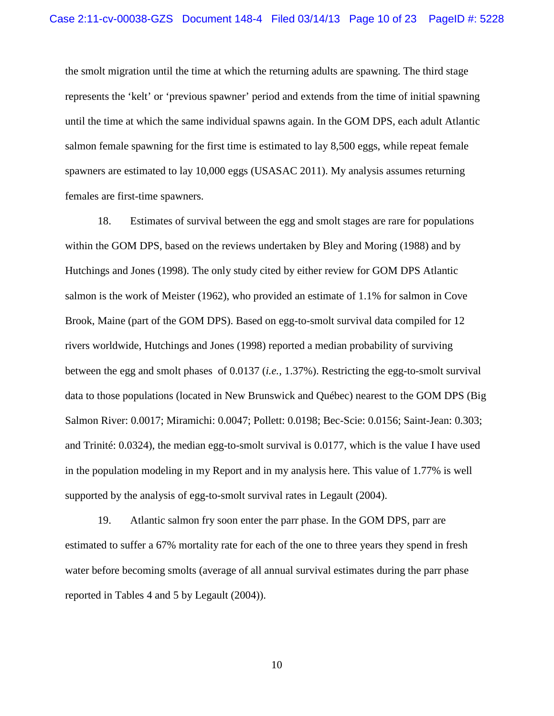the smolt migration until the time at which the returning adults are spawning. The third stage represents the 'kelt' or 'previous spawner' period and extends from the time of initial spawning until the time at which the same individual spawns again. In the GOM DPS, each adult Atlantic salmon female spawning for the first time is estimated to lay 8,500 eggs, while repeat female spawners are estimated to lay 10,000 eggs (USASAC 2011). My analysis assumes returning females are first-time spawners.

18. Estimates of survival between the egg and smolt stages are rare for populations within the GOM DPS, based on the reviews undertaken by Bley and Moring (1988) and by Hutchings and Jones (1998). The only study cited by either review for GOM DPS Atlantic salmon is the work of Meister (1962), who provided an estimate of 1.1% for salmon in Cove Brook, Maine (part of the GOM DPS). Based on egg-to-smolt survival data compiled for 12 rivers worldwide, Hutchings and Jones (1998) reported a median probability of surviving between the egg and smolt phases of 0.0137 (*i.e.,* 1.37%). Restricting the egg-to-smolt survival data to those populations (located in New Brunswick and Québec) nearest to the GOM DPS (Big Salmon River: 0.0017; Miramichi: 0.0047; Pollett: 0.0198; Bec-Scie: 0.0156; Saint-Jean: 0.303; and Trinité: 0.0324), the median egg-to-smolt survival is 0.0177, which is the value I have used in the population modeling in my Report and in my analysis here. This value of 1.77% is well supported by the analysis of egg-to-smolt survival rates in Legault (2004).

19. Atlantic salmon fry soon enter the parr phase. In the GOM DPS, parr are estimated to suffer a 67% mortality rate for each of the one to three years they spend in fresh water before becoming smolts (average of all annual survival estimates during the parr phase reported in Tables 4 and 5 by Legault (2004)).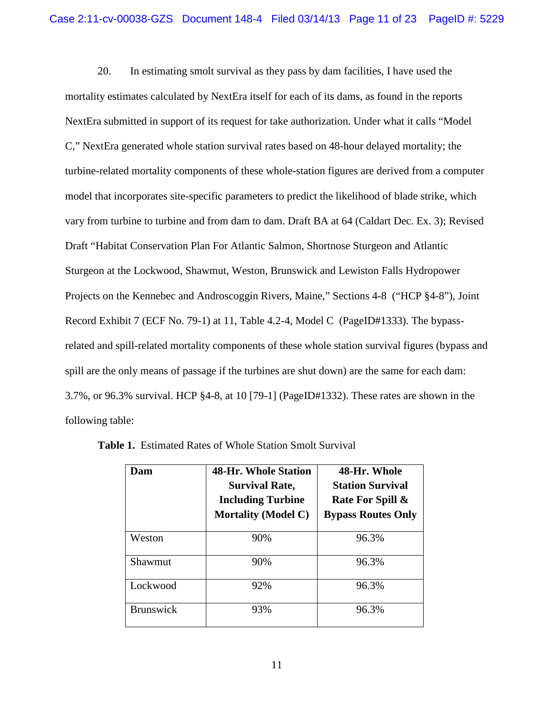20. In estimating smolt survival as they pass by dam facilities, I have used the mortality estimates calculated by NextEra itself for each of its dams, as found in the reports NextEra submitted in support of its request for take authorization. Under what it calls "Model C," NextEra generated whole station survival rates based on 48-hour delayed mortality; the turbine-related mortality components of these whole-station figures are derived from a computer model that incorporates site-specific parameters to predict the likelihood of blade strike, which vary from turbine to turbine and from dam to dam. Draft BA at 64 (Caldart Dec. Ex. 3); Revised Draft "Habitat Conservation Plan For Atlantic Salmon, Shortnose Sturgeon and Atlantic Sturgeon at the Lockwood, Shawmut, Weston, Brunswick and Lewiston Falls Hydropower Projects on the Kennebec and Androscoggin Rivers, Maine," Sections 4-8 ("HCP §4-8"), Joint Record Exhibit 7 (ECF No. 79-1) at 11, Table 4.2-4, Model C (PageID#1333). The bypassrelated and spill-related mortality components of these whole station survival figures (bypass and spill are the only means of passage if the turbines are shut down) are the same for each dam: 3.7%, or 96.3% survival. HCP §4-8, at 10 [79-1] (PageID#1332). These rates are shown in the following table:

| Dam              | <b>48-Hr. Whole Station</b><br><b>Survival Rate,</b><br><b>Including Turbine</b><br><b>Mortality (Model C)</b> | 48-Hr. Whole<br><b>Station Survival</b><br>Rate For Spill &<br><b>Bypass Routes Only</b> |
|------------------|----------------------------------------------------------------------------------------------------------------|------------------------------------------------------------------------------------------|
| Weston           | 90%                                                                                                            | 96.3%                                                                                    |
| Shawmut          | 90%                                                                                                            | 96.3%                                                                                    |
| Lockwood         | 92%                                                                                                            | 96.3%                                                                                    |
| <b>Brunswick</b> | 93%                                                                                                            | 96.3%                                                                                    |

**Table 1.** Estimated Rates of Whole Station Smolt Survival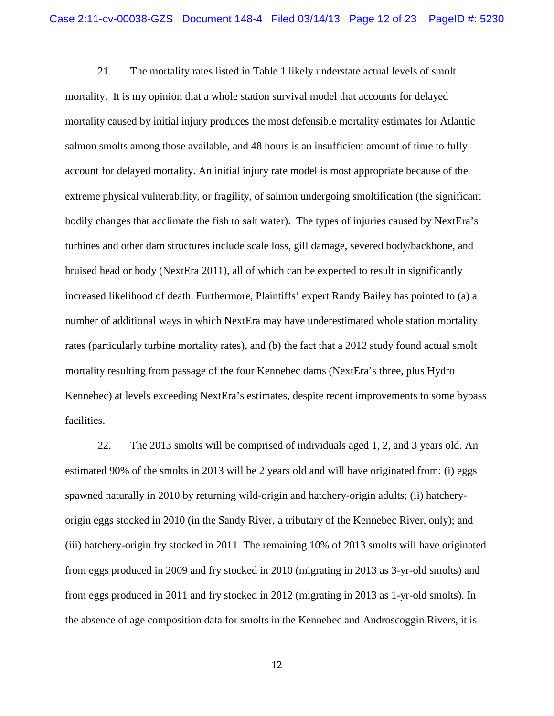21. The mortality rates listed in Table 1 likely understate actual levels of smolt mortality. It is my opinion that a whole station survival model that accounts for delayed mortality caused by initial injury produces the most defensible mortality estimates for Atlantic salmon smolts among those available, and 48 hours is an insufficient amount of time to fully account for delayed mortality. An initial injury rate model is most appropriate because of the extreme physical vulnerability, or fragility, of salmon undergoing smoltification (the significant bodily changes that acclimate the fish to salt water). The types of injuries caused by NextEra's turbines and other dam structures include scale loss, gill damage, severed body/backbone, and bruised head or body (NextEra 2011), all of which can be expected to result in significantly increased likelihood of death. Furthermore, Plaintiffs' expert Randy Bailey has pointed to (a) a number of additional ways in which NextEra may have underestimated whole station mortality rates (particularly turbine mortality rates), and (b) the fact that a 2012 study found actual smolt mortality resulting from passage of the four Kennebec dams (NextEra's three, plus Hydro Kennebec) at levels exceeding NextEra's estimates, despite recent improvements to some bypass facilities.

22. The 2013 smolts will be comprised of individuals aged 1, 2, and 3 years old. An estimated 90% of the smolts in 2013 will be 2 years old and will have originated from: (i) eggs spawned naturally in 2010 by returning wild-origin and hatchery-origin adults; (ii) hatcheryorigin eggs stocked in 2010 (in the Sandy River, a tributary of the Kennebec River, only); and (iii) hatchery-origin fry stocked in 2011. The remaining 10% of 2013 smolts will have originated from eggs produced in 2009 and fry stocked in 2010 (migrating in 2013 as 3-yr-old smolts) and from eggs produced in 2011 and fry stocked in 2012 (migrating in 2013 as 1-yr-old smolts). In the absence of age composition data for smolts in the Kennebec and Androscoggin Rivers, it is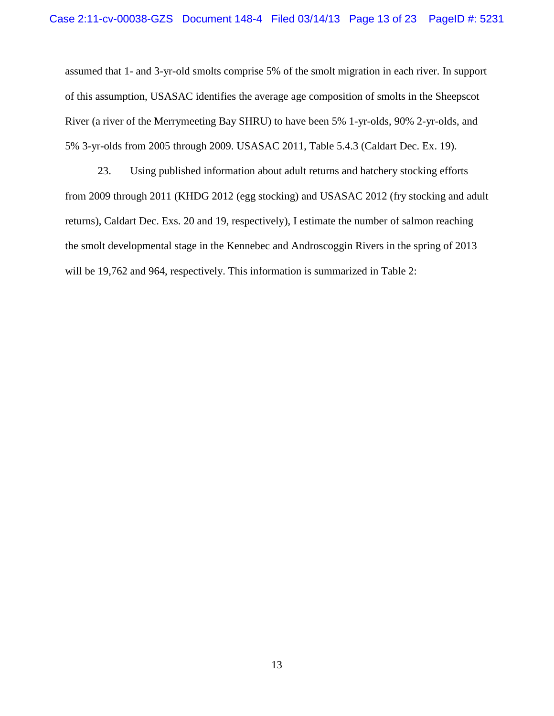assumed that 1- and 3-yr-old smolts comprise 5% of the smolt migration in each river. In support of this assumption, USASAC identifies the average age composition of smolts in the Sheepscot River (a river of the Merrymeeting Bay SHRU) to have been 5% 1-yr-olds, 90% 2-yr-olds, and 5% 3-yr-olds from 2005 through 2009. USASAC 2011, Table 5.4.3 (Caldart Dec. Ex. 19).

23. Using published information about adult returns and hatchery stocking efforts from 2009 through 2011 (KHDG 2012 (egg stocking) and USASAC 2012 (fry stocking and adult returns), Caldart Dec. Exs. 20 and 19, respectively), I estimate the number of salmon reaching the smolt developmental stage in the Kennebec and Androscoggin Rivers in the spring of 2013 will be 19,762 and 964, respectively. This information is summarized in Table 2: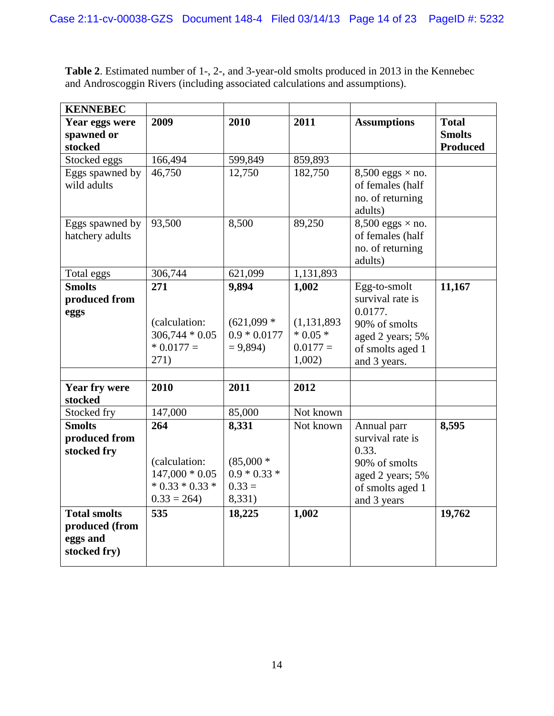| <b>Table 2.</b> Estimated number of 1-, 2-, and 3-year-old smolts produced in 2013 in the Kennebec |  |
|----------------------------------------------------------------------------------------------------|--|
| and Androscoggin Rivers (including associated calculations and assumptions).                       |  |

| <b>KENNEBEC</b>                                                   |                                                                               |                                                              |                                                            |                                                                                                                      |                                                  |
|-------------------------------------------------------------------|-------------------------------------------------------------------------------|--------------------------------------------------------------|------------------------------------------------------------|----------------------------------------------------------------------------------------------------------------------|--------------------------------------------------|
| Year eggs were<br>spawned or<br>stocked                           | 2009                                                                          | 2010                                                         | 2011                                                       | <b>Assumptions</b>                                                                                                   | <b>Total</b><br><b>Smolts</b><br><b>Produced</b> |
| Stocked eggs                                                      | 166,494                                                                       | 599,849                                                      | 859,893                                                    |                                                                                                                      |                                                  |
| Eggs spawned by<br>wild adults                                    | 46,750                                                                        | 12,750                                                       | 182,750                                                    | $8,500$ eggs $\times$ no.<br>of females (half<br>no. of returning<br>adults)                                         |                                                  |
| Eggs spawned by<br>hatchery adults                                | 93,500                                                                        | 8,500                                                        | 89,250                                                     | $8,500$ eggs $\times$ no.<br>of females (half<br>no. of returning<br>adults)                                         |                                                  |
| Total eggs                                                        | 306,744                                                                       | 621,099                                                      | 1,131,893                                                  |                                                                                                                      |                                                  |
| <b>Smolts</b><br>produced from<br>eggs                            | 271<br>(calculation:<br>$306,744 * 0.05$<br>$* 0.0177 =$<br>271)              | 9,894<br>$(621,099)$ *<br>$0.9 * 0.0177$<br>$= 9,894$        | 1,002<br>(1, 131, 893)<br>$*0.05*$<br>$0.0177 =$<br>1,002) | Egg-to-smolt<br>survival rate is<br>0.0177.<br>90% of smolts<br>aged 2 years; 5%<br>of smolts aged 1<br>and 3 years. | 11,167                                           |
| <b>Year fry were</b><br>stocked                                   | 2010                                                                          | 2011                                                         | 2012                                                       |                                                                                                                      |                                                  |
| Stocked fry                                                       | 147,000                                                                       | 85,000                                                       | Not known                                                  |                                                                                                                      |                                                  |
| <b>Smolts</b><br>produced from<br>stocked fry                     | 264<br>(calculation:<br>$147,000 * 0.05$<br>$* 0.33 * 0.33 *$<br>$0.33 = 264$ | 8,331<br>$(85,000 *$<br>$0.9 * 0.33 *$<br>$0.33 =$<br>8,331) | Not known                                                  | Annual parr<br>survival rate is<br>0.33.<br>90% of smolts<br>aged 2 years; 5%<br>of smolts aged 1<br>and 3 years     | 8,595                                            |
| <b>Total smolts</b><br>produced (from<br>eggs and<br>stocked fry) | 535                                                                           | 18,225                                                       | 1,002                                                      |                                                                                                                      | 19,762                                           |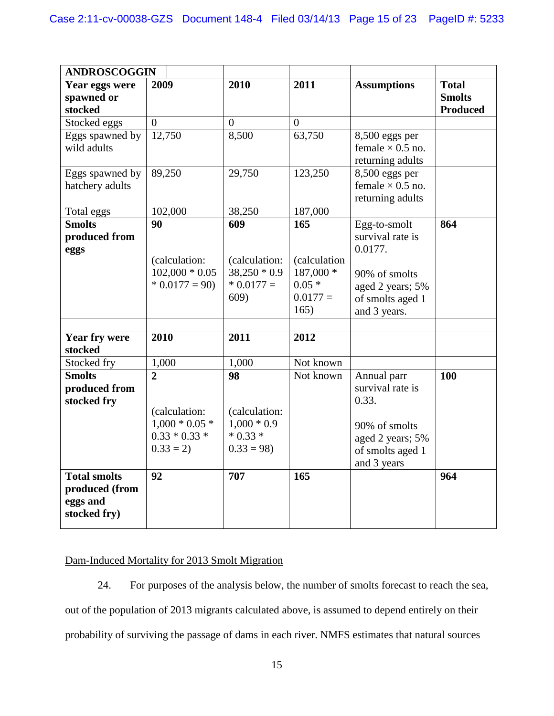| <b>ANDROSCOGGIN</b>                                               |                                                                                      |                                                                   |                                            |                                                                                                                  |                                                  |
|-------------------------------------------------------------------|--------------------------------------------------------------------------------------|-------------------------------------------------------------------|--------------------------------------------|------------------------------------------------------------------------------------------------------------------|--------------------------------------------------|
| Year eggs were<br>spawned or<br>stocked                           | 2009                                                                                 | 2010                                                              | 2011                                       | <b>Assumptions</b>                                                                                               | <b>Total</b><br><b>Smolts</b><br><b>Produced</b> |
| Stocked eggs                                                      | $\overline{0}$                                                                       | $\overline{0}$                                                    | $\boldsymbol{0}$                           |                                                                                                                  |                                                  |
| Eggs spawned by<br>wild adults                                    | 12,750                                                                               | 8,500                                                             | 63,750                                     | 8,500 eggs per<br>female $\times$ 0.5 no.<br>returning adults                                                    |                                                  |
| Eggs spawned by<br>hatchery adults                                | 89,250                                                                               | 29,750                                                            | 123,250                                    | $8,500$ eggs per<br>female $\times$ 0.5 no.<br>returning adults                                                  |                                                  |
| Total eggs                                                        | 102,000                                                                              | 38,250                                                            | 187,000                                    |                                                                                                                  |                                                  |
| <b>Smolts</b><br>produced from<br>eggs                            | 90<br>(calculation:                                                                  | 609<br>(calculation:                                              | 165<br>(calculation                        | Egg-to-smolt<br>survival rate is<br>0.0177.                                                                      | 864                                              |
|                                                                   | $102,000 * 0.05$<br>$* 0.0177 = 90$                                                  | $38,250 * 0.9$<br>$* 0.0177 =$<br>609)                            | 187,000 *<br>$0.05*$<br>$0.0177 =$<br>165) | 90% of smolts<br>aged 2 years; 5%<br>of smolts aged 1<br>and 3 years.                                            |                                                  |
| <b>Year fry were</b>                                              | 2010                                                                                 | 2011                                                              | 2012                                       |                                                                                                                  |                                                  |
| stocked                                                           |                                                                                      |                                                                   |                                            |                                                                                                                  |                                                  |
| Stocked fry                                                       | 1,000                                                                                | 1,000                                                             | Not known                                  |                                                                                                                  |                                                  |
| <b>Smolts</b><br>produced from<br>stocked fry                     | $\overline{2}$<br>(calculation:<br>$1,000 * 0.05 *$<br>$0.33 * 0.33 *$<br>$0.33 = 2$ | 98<br>(calculation:<br>$1,000 * 0.9$<br>$* 0.33 *$<br>$0.33 = 98$ | Not known                                  | Annual parr<br>survival rate is<br>0.33.<br>90% of smolts<br>aged 2 years; 5%<br>of smolts aged 1<br>and 3 years | 100                                              |
| <b>Total smolts</b><br>produced (from<br>eggs and<br>stocked fry) | 92                                                                                   | 707                                                               | 165                                        |                                                                                                                  | 964                                              |

# Dam-Induced Mortality for 2013 Smolt Migration

24. For purposes of the analysis below, the number of smolts forecast to reach the sea, out of the population of 2013 migrants calculated above, is assumed to depend entirely on their probability of surviving the passage of dams in each river. NMFS estimates that natural sources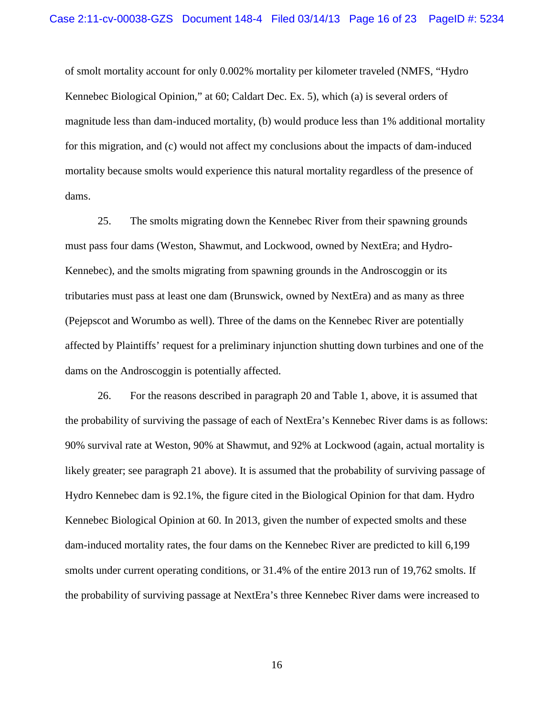of smolt mortality account for only 0.002% mortality per kilometer traveled (NMFS, "Hydro Kennebec Biological Opinion," at 60; Caldart Dec. Ex. 5), which (a) is several orders of magnitude less than dam-induced mortality, (b) would produce less than 1% additional mortality for this migration, and (c) would not affect my conclusions about the impacts of dam-induced mortality because smolts would experience this natural mortality regardless of the presence of dams.

25. The smolts migrating down the Kennebec River from their spawning grounds must pass four dams (Weston, Shawmut, and Lockwood, owned by NextEra; and Hydro-Kennebec), and the smolts migrating from spawning grounds in the Androscoggin or its tributaries must pass at least one dam (Brunswick, owned by NextEra) and as many as three (Pejepscot and Worumbo as well). Three of the dams on the Kennebec River are potentially affected by Plaintiffs' request for a preliminary injunction shutting down turbines and one of the dams on the Androscoggin is potentially affected.

26. For the reasons described in paragraph 20 and Table 1, above, it is assumed that the probability of surviving the passage of each of NextEra's Kennebec River dams is as follows: 90% survival rate at Weston, 90% at Shawmut, and 92% at Lockwood (again, actual mortality is likely greater; see paragraph 21 above). It is assumed that the probability of surviving passage of Hydro Kennebec dam is 92.1%, the figure cited in the Biological Opinion for that dam. Hydro Kennebec Biological Opinion at 60. In 2013, given the number of expected smolts and these dam-induced mortality rates, the four dams on the Kennebec River are predicted to kill 6,199 smolts under current operating conditions, or 31.4% of the entire 2013 run of 19,762 smolts. If the probability of surviving passage at NextEra's three Kennebec River dams were increased to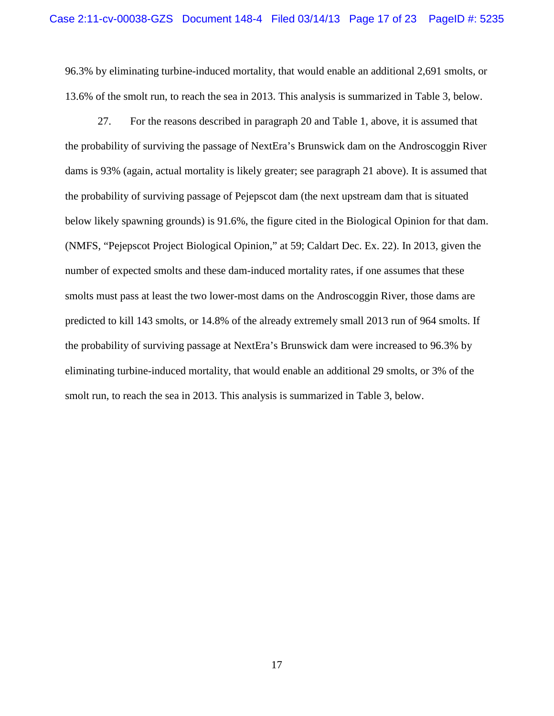96.3% by eliminating turbine-induced mortality, that would enable an additional 2,691 smolts, or 13.6% of the smolt run, to reach the sea in 2013. This analysis is summarized in Table 3, below.

27. For the reasons described in paragraph 20 and Table 1, above, it is assumed that the probability of surviving the passage of NextEra's Brunswick dam on the Androscoggin River dams is 93% (again, actual mortality is likely greater; see paragraph 21 above). It is assumed that the probability of surviving passage of Pejepscot dam (the next upstream dam that is situated below likely spawning grounds) is 91.6%, the figure cited in the Biological Opinion for that dam. (NMFS, "Pejepscot Project Biological Opinion," at 59; Caldart Dec. Ex. 22). In 2013, given the number of expected smolts and these dam-induced mortality rates, if one assumes that these smolts must pass at least the two lower-most dams on the Androscoggin River, those dams are predicted to kill 143 smolts, or 14.8% of the already extremely small 2013 run of 964 smolts. If the probability of surviving passage at NextEra's Brunswick dam were increased to 96.3% by eliminating turbine-induced mortality, that would enable an additional 29 smolts, or 3% of the smolt run, to reach the sea in 2013. This analysis is summarized in Table 3, below.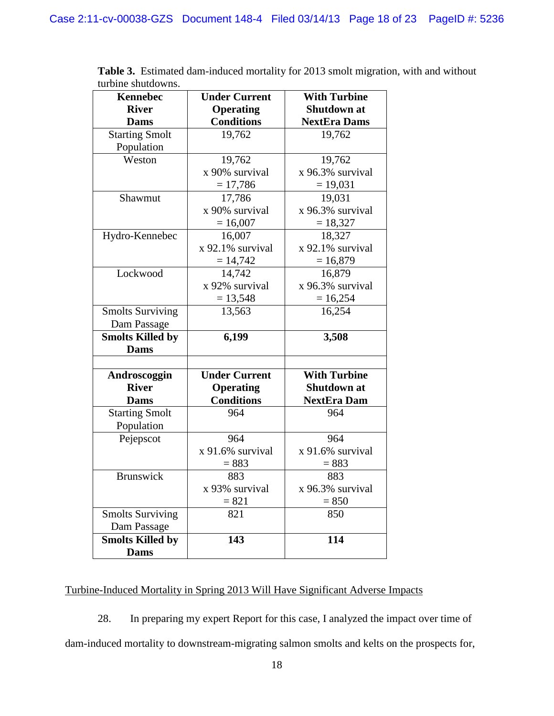| <b>Kennebec</b>         | <b>With Turbine</b><br><b>Under Current</b> |                     |
|-------------------------|---------------------------------------------|---------------------|
| <b>River</b>            | <b>Shutdown at</b><br><b>Operating</b>      |                     |
| <b>Dams</b>             | <b>Conditions</b>                           | <b>NextEra Dams</b> |
| <b>Starting Smolt</b>   | 19,762                                      | 19,762              |
| Population              |                                             |                     |
| Weston                  | 19,762                                      | 19,762              |
|                         | x 90% survival                              | x 96.3% survival    |
|                         | $= 17,786$                                  | $= 19,031$          |
| Shawmut                 | 17,786                                      | 19,031              |
|                         | x 90% survival                              | x 96.3% survival    |
|                         | $= 16,007$                                  | $= 18,327$          |
| Hydro-Kennebec          | 16,007                                      | 18,327              |
|                         | x 92.1% survival                            | x 92.1% survival    |
|                         | $= 14,742$                                  | $= 16,879$          |
| Lockwood                | 14,742                                      | 16,879              |
|                         | x 92% survival                              | x 96.3% survival    |
|                         | $= 13,548$                                  | $= 16,254$          |
| <b>Smolts Surviving</b> | 13,563                                      | 16,254              |
| Dam Passage             |                                             |                     |
| Smolts Killed by        | 6,199                                       | 3,508               |
| <b>Dams</b>             |                                             |                     |
|                         |                                             |                     |
| Androscoggin            | <b>Under Current</b>                        | <b>With Turbine</b> |
| <b>River</b>            | <b>Operating</b>                            | <b>Shutdown at</b>  |
| <b>Dams</b>             | <b>Conditions</b>                           | <b>NextEra Dam</b>  |
| <b>Starting Smolt</b>   | 964                                         | 964                 |
| Population              |                                             |                     |
| Pejepscot               | 964                                         | 964                 |
|                         | x 91.6% survival                            | x 91.6% survival    |
|                         | $= 883$                                     | $= 883$             |
| <b>Brunswick</b>        | 883                                         | 883                 |
|                         | x 93% survival                              | x 96.3% survival    |
|                         | $= 821$                                     | $= 850$             |
| <b>Smolts Surviving</b> | 821                                         | 850                 |
| Dam Passage             |                                             |                     |
| <b>Smolts Killed by</b> | 143                                         | 114                 |
| <b>Dams</b>             |                                             |                     |

**Table 3.** Estimated dam-induced mortality for 2013 smolt migration, with and without turbine shutdowns.

# Turbine-Induced Mortality in Spring 2013 Will Have Significant Adverse Impacts

28. In preparing my expert Report for this case, I analyzed the impact over time of dam-induced mortality to downstream-migrating salmon smolts and kelts on the prospects for,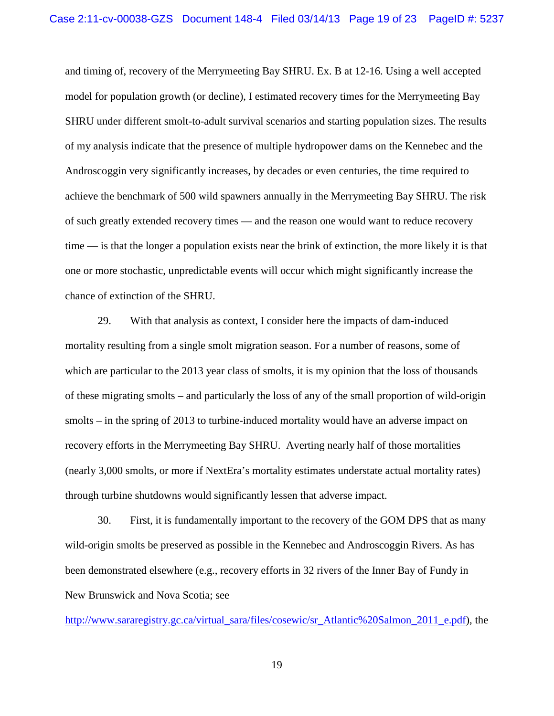and timing of, recovery of the Merrymeeting Bay SHRU. Ex. B at 12-16. Using a well accepted model for population growth (or decline), I estimated recovery times for the Merrymeeting Bay SHRU under different smolt-to-adult survival scenarios and starting population sizes. The results of my analysis indicate that the presence of multiple hydropower dams on the Kennebec and the Androscoggin very significantly increases, by decades or even centuries, the time required to achieve the benchmark of 500 wild spawners annually in the Merrymeeting Bay SHRU. The risk of such greatly extended recovery times — and the reason one would want to reduce recovery time — is that the longer a population exists near the brink of extinction, the more likely it is that one or more stochastic, unpredictable events will occur which might significantly increase the chance of extinction of the SHRU.

29. With that analysis as context, I consider here the impacts of dam-induced mortality resulting from a single smolt migration season. For a number of reasons, some of which are particular to the 2013 year class of smolts, it is my opinion that the loss of thousands of these migrating smolts – and particularly the loss of any of the small proportion of wild-origin smolts – in the spring of 2013 to turbine-induced mortality would have an adverse impact on recovery efforts in the Merrymeeting Bay SHRU. Averting nearly half of those mortalities (nearly 3,000 smolts, or more if NextEra's mortality estimates understate actual mortality rates) through turbine shutdowns would significantly lessen that adverse impact.

30. First, it is fundamentally important to the recovery of the GOM DPS that as many wild-origin smolts be preserved as possible in the Kennebec and Androscoggin Rivers. As has been demonstrated elsewhere (e.g., recovery efforts in 32 rivers of the Inner Bay of Fundy in New Brunswick and Nova Scotia; see

[http://www.sararegistry.gc.ca/virtual\\_sara/files/cosewic/sr\\_Atlantic%20Salmon\\_2011\\_e.pdf\)](http://www.sararegistry.gc.ca/virtual_sara/files/cosewic/sr_Atlantic%20Salmon_2011_e.pdf), the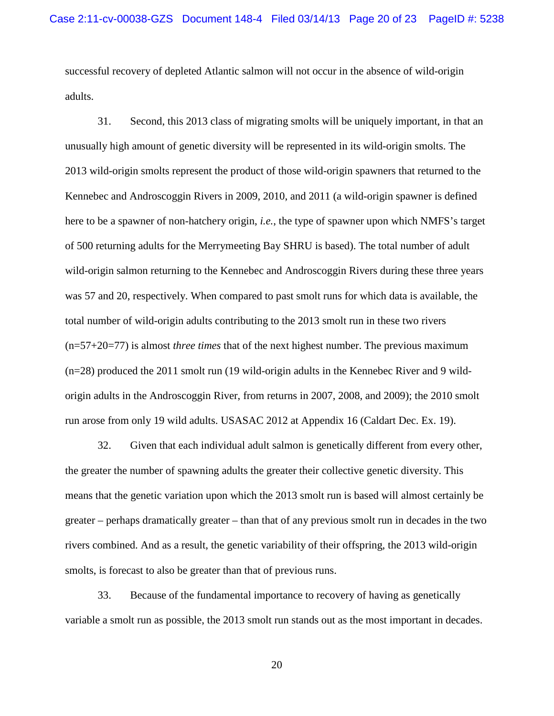successful recovery of depleted Atlantic salmon will not occur in the absence of wild-origin adults.

31. Second, this 2013 class of migrating smolts will be uniquely important, in that an unusually high amount of genetic diversity will be represented in its wild-origin smolts. The 2013 wild-origin smolts represent the product of those wild-origin spawners that returned to the Kennebec and Androscoggin Rivers in 2009, 2010, and 2011 (a wild-origin spawner is defined here to be a spawner of non-hatchery origin, *i.e.*, the type of spawner upon which NMFS's target of 500 returning adults for the Merrymeeting Bay SHRU is based). The total number of adult wild-origin salmon returning to the Kennebec and Androscoggin Rivers during these three years was 57 and 20, respectively. When compared to past smolt runs for which data is available, the total number of wild-origin adults contributing to the 2013 smolt run in these two rivers (n=57+20=77) is almost *three times* that of the next highest number. The previous maximum (n=28) produced the 2011 smolt run (19 wild-origin adults in the Kennebec River and 9 wildorigin adults in the Androscoggin River, from returns in 2007, 2008, and 2009); the 2010 smolt run arose from only 19 wild adults. USASAC 2012 at Appendix 16 (Caldart Dec. Ex. 19).

32. Given that each individual adult salmon is genetically different from every other, the greater the number of spawning adults the greater their collective genetic diversity. This means that the genetic variation upon which the 2013 smolt run is based will almost certainly be greater – perhaps dramatically greater – than that of any previous smolt run in decades in the two rivers combined. And as a result, the genetic variability of their offspring, the 2013 wild-origin smolts, is forecast to also be greater than that of previous runs.

33. Because of the fundamental importance to recovery of having as genetically variable a smolt run as possible, the 2013 smolt run stands out as the most important in decades.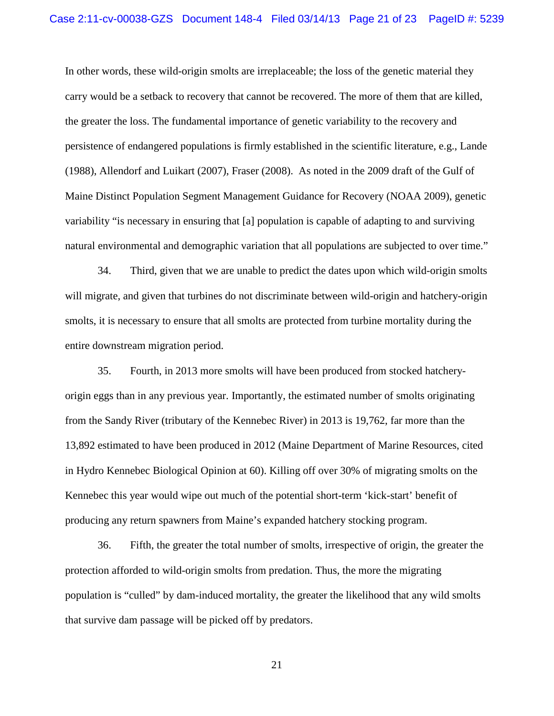In other words, these wild-origin smolts are irreplaceable; the loss of the genetic material they carry would be a setback to recovery that cannot be recovered. The more of them that are killed, the greater the loss. The fundamental importance of genetic variability to the recovery and persistence of endangered populations is firmly established in the scientific literature, e.g., Lande (1988), Allendorf and Luikart (2007), Fraser (2008). As noted in the 2009 draft of the Gulf of Maine Distinct Population Segment Management Guidance for Recovery (NOAA 2009), genetic variability "is necessary in ensuring that [a] population is capable of adapting to and surviving natural environmental and demographic variation that all populations are subjected to over time."

34. Third, given that we are unable to predict the dates upon which wild-origin smolts will migrate, and given that turbines do not discriminate between wild-origin and hatchery-origin smolts, it is necessary to ensure that all smolts are protected from turbine mortality during the entire downstream migration period.

35. Fourth, in 2013 more smolts will have been produced from stocked hatcheryorigin eggs than in any previous year. Importantly, the estimated number of smolts originating from the Sandy River (tributary of the Kennebec River) in 2013 is 19,762, far more than the 13,892 estimated to have been produced in 2012 (Maine Department of Marine Resources, cited in Hydro Kennebec Biological Opinion at 60). Killing off over 30% of migrating smolts on the Kennebec this year would wipe out much of the potential short-term 'kick-start' benefit of producing any return spawners from Maine's expanded hatchery stocking program.

36. Fifth, the greater the total number of smolts, irrespective of origin, the greater the protection afforded to wild-origin smolts from predation. Thus, the more the migrating population is "culled" by dam-induced mortality, the greater the likelihood that any wild smolts that survive dam passage will be picked off by predators.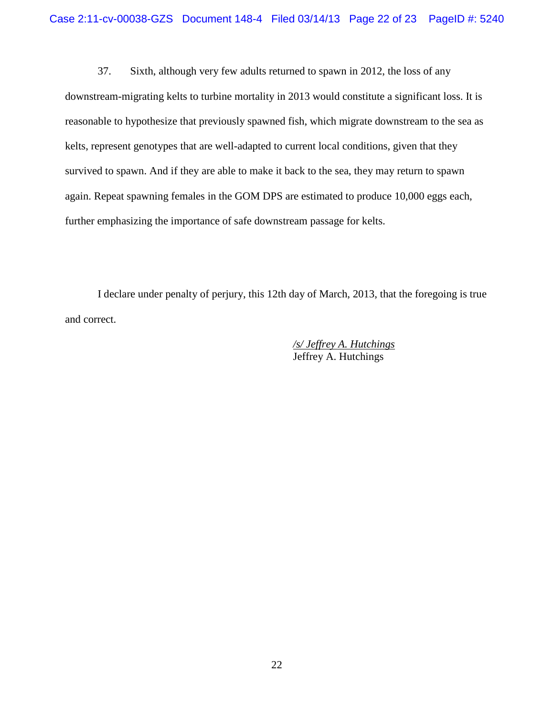37. Sixth, although very few adults returned to spawn in 2012, the loss of any downstream-migrating kelts to turbine mortality in 2013 would constitute a significant loss. It is reasonable to hypothesize that previously spawned fish, which migrate downstream to the sea as kelts, represent genotypes that are well-adapted to current local conditions, given that they survived to spawn. And if they are able to make it back to the sea, they may return to spawn again. Repeat spawning females in the GOM DPS are estimated to produce 10,000 eggs each, further emphasizing the importance of safe downstream passage for kelts.

I declare under penalty of perjury, this 12th day of March, 2013, that the foregoing is true and correct.

> */s/ Jeffrey A. Hutchings* Jeffrey A. Hutchings